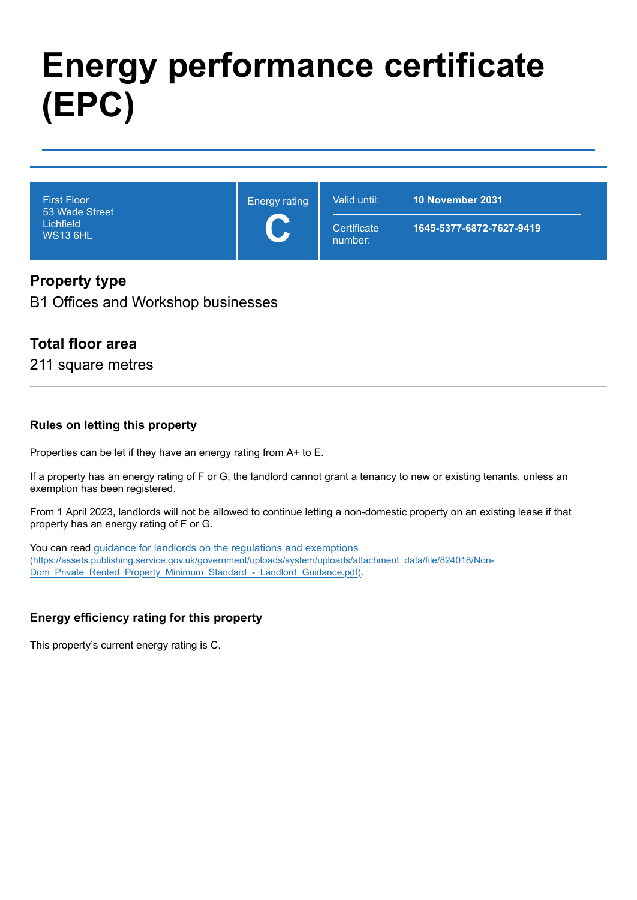# **Energy performance certificate (EPC)**

| <b>First Floor</b><br>53 Wade Street<br>Lichfield<br><b>WS13 6HL</b> | <b>Energy rating</b><br>$\overline{\phantom{a}}$<br>$\blacktriangleright$ | Valid until:           | <b>10 November 2031</b>  |
|----------------------------------------------------------------------|---------------------------------------------------------------------------|------------------------|--------------------------|
|                                                                      |                                                                           | Certificate<br>number: | 1645-5377-6872-7627-9419 |

## **Property type**

B1 Offices and Workshop businesses

#### **Total floor area**

211 square metres

#### **Rules on letting this property**

Properties can be let if they have an energy rating from A+ to E.

If a property has an energy rating of F or G, the landlord cannot grant a tenancy to new or existing tenants, unless an exemption has been registered.

From 1 April 2023, landlords will not be allowed to continue letting a non-domestic property on an existing lease if that property has an energy rating of F or G.

You can read guidance for landlords on the regulations and exemptions [\(https://assets.publishing.service.gov.uk/government/uploads/system/uploads/attachment\\_data/file/824018/Non-](https://assets.publishing.service.gov.uk/government/uploads/system/uploads/attachment_data/file/824018/Non-Dom_Private_Rented_Property_Minimum_Standard_-_Landlord_Guidance.pdf)Dom\_Private\_Rented\_Property\_Minimum\_Standard\_-\_Landlord\_Guidance.pdf).

#### **Energy efficiency rating for this property**

This property's current energy rating is C.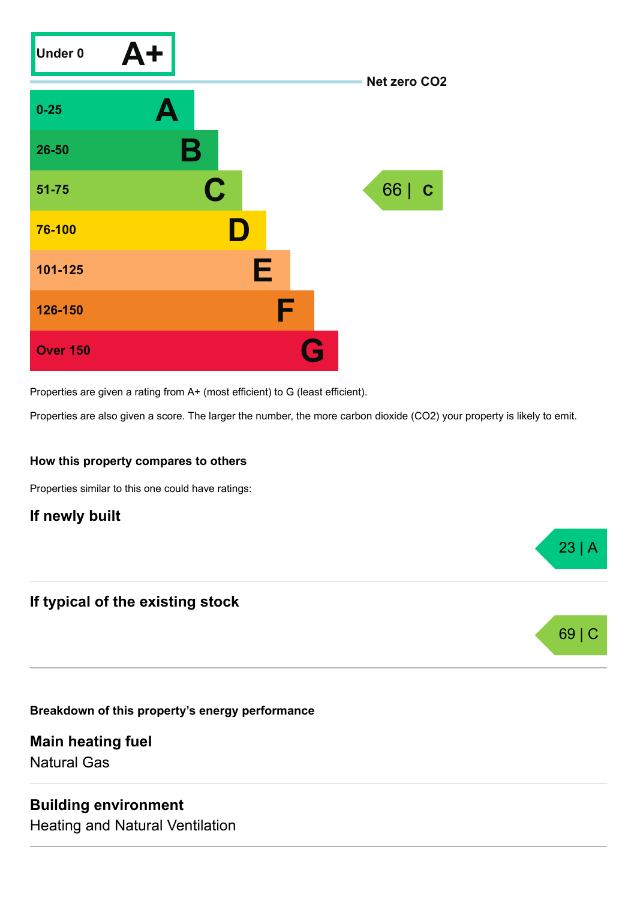

Properties are given a rating from A+ (most efficient) to G (least efficient).

Properties are also given a score. The larger the number, the more carbon dioxide (CO2) your property is likely to emit.

23 | A

69 |

#### **How this property compares to others**

Properties similar to this one could have ratings:

#### **If newly built**

## **If typical of the existing stock**

**Breakdown of this property's energy performance**

**Main heating fuel** Natural Gas

#### **Building environment**

Heating and Natural Ventilation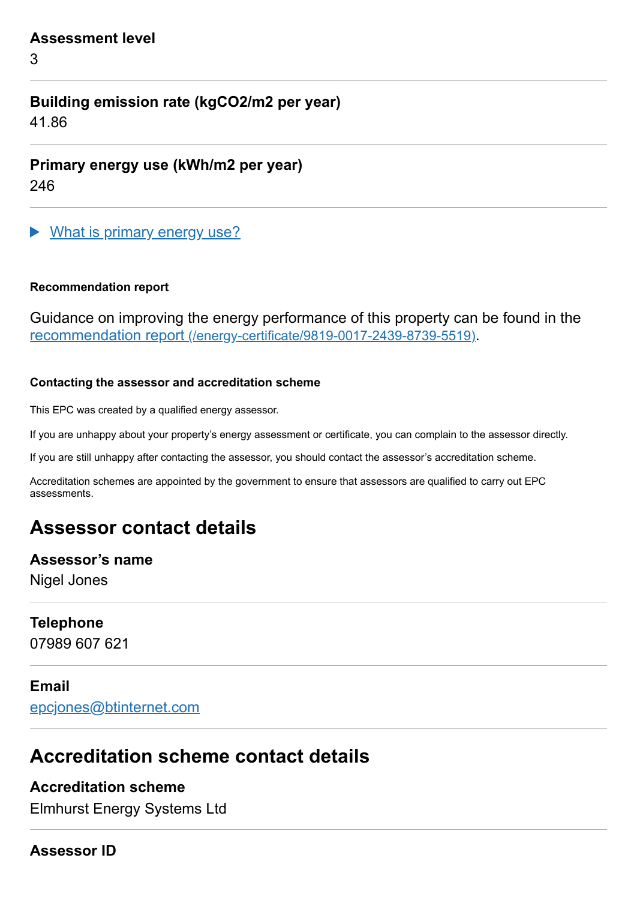#### **Assessment level**

3

# **Building emission rate (kgCO2/m2 per year)**

41.86

**Primary energy use (kWh/m2 per year)**

246

What is primary energy use?

#### **Recommendation report**

Guidance on improving the energy performance of this property can be found in the recommendation report [\(/energy-certificate/9819-0017-2439-8739-5519\)](https://find-energy-certificate.service.gov.uk/energy-certificate/9819-0017-2439-8739-5519).

#### **Contacting the assessor and accreditation scheme**

This EPC was created by a qualified energy assessor.

If you are unhappy about your property's energy assessment or certificate, you can complain to the assessor directly.

If you are still unhappy after contacting the assessor, you should contact the assessor's accreditation scheme.

Accreditation schemes are appointed by the government to ensure that assessors are qualified to carry out EPC assessments.

# **Assessor contact details**

#### **Assessor's name**

Nigel Jones

#### **Telephone**

07989 607 621

## **Email**

[epcjones@btinternet.com](mailto:epcjones@btinternet.com)

# **Accreditation scheme contact details**

# **Accreditation scheme**

Elmhurst Energy Systems Ltd

#### **Assessor ID**